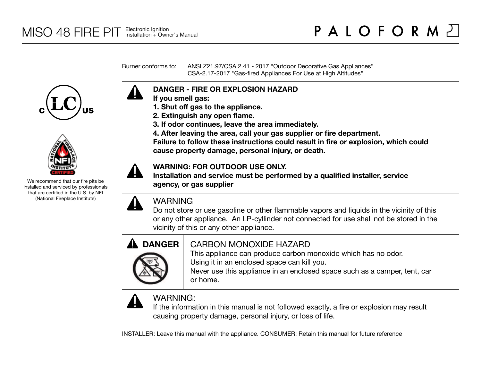Burner conforms to: ANSI Z21.97/CSA 2.41 - 2017 "Outdoor Decorative Gas Appliances" CSA-2.17-2017 "Gas-fired Appliances For Use at High Altitudes"





We recommend that our fire pits be installed and serviced by professionals that are certified in the U.S. by NFI (National Fireplace Institute)



- **If you smell gas:**
- **1. Shut off gas to the appliance.**
- **2. Extinguish any open flame.**
- **3. If odor continues, leave the area immediately.**
- **4. After leaving the area, call your gas supplier or fire department.**

**Failure to follow these instructions could result in fire or explosion, which could cause property damage, personal injury, or death.**

### **WARNING: FOR OUTDOOR USE ONLY.**

**Installation and service must be performed by a qualified installer, service agency, or gas supplier**



## WARNING

Do not store or use gasoline or other flammable vapors and liquids in the vicinity of this or any other appliance. An LP-cyllinder not connected for use shall not be stored in the vicinity of this or any other appliance.



## CARBON MONOXIDE HAZARD

This appliance can produce carbon monoxide which has no odor. Using it in an enclosed space can kill you.

Never use this appliance in an enclosed space such as a camper, tent, car or home.



# WARNING:

If the information in this manual is not followed exactly, a fire or explosion may result causing property damage, personal injury, or loss of life.

INSTALLER: Leave this manual with the appliance. CONSUMER: Retain this manual for future reference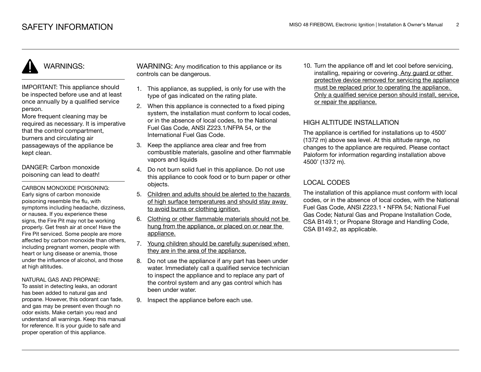# WARNINGS:

IMPORTANT: This appliance should be inspected before use and at least once annually by a qualified service person.

More frequent cleaning may be required as necessary. It is imperative that the control compartment, burners and circulating air passageways of the appliance be kept clean.

DANGER: Carbon monoxide poisoning can lead to death!

CARBON MONOXIDE POISONING: Early signs of carbon monoxide poisoning resemble the flu, with symptoms including headache, dizziness, or nausea. If you experience these signs, the Fire Pit may not be working properly. Get fresh air at once! Have the Fire Pit serviced. Some people are more affected by carbon monoxide than others, including pregnant women, people with heart or lung disease or anemia, those under the influence of alcohol, and those at high altitudes.

#### NATURAL GAS AND PROPANE:

To assist in detecting leaks, an odorant has been added to natural gas and propane. However, this odorant can fade, and gas may be present even though no odor exists. Make certain you read and understand all warnings. Keep this manual for reference. It is your guide to safe and proper operation of this appliance.

WARNING: Any modification to this appliance or its controls can be dangerous.

- 1. This appliance, as supplied, is only for use with the type of gas indicated on the rating plate.
- 2. When this appliance is connected to a fixed piping system, the installation must conform to local codes. or in the absence of local codes, to the National Fuel Gas Code, ANSI Z223.1/NFPA 54, or the International Fuel Gas Code.
- 3. Keep the appliance area clear and free from combustible materials, gasoline and other flammable vapors and liquids
- 4. Do not burn solid fuel in this appliance. Do not use this appliance to cook food or to burn paper or other objects.
- 5. Children and adults should be alerted to the hazards of high surface temperatures and should stay away to avoid burns or clothing ignition.
- 6. Clothing or other flammable materials should not be hung from the appliance, or placed on or near the appliance.
- 7. Young children should be carefully supervised when they are in the area of the appliance.
- 8. Do not use the appliance if any part has been under water. Immediately call a qualified service technician to inspect the appliance and to replace any part of the control system and any gas control which has been under water.
- 9. Inspect the appliance before each use.

10. Turn the appliance off and let cool before servicing, installing, repairing or covering. Any guard or other protective device removed for servicing the appliance must be replaced prior to operating the appliance. Only a qualified service person should install, service, or repair the appliance.

#### HIGH ALTITUDE INSTALLATION

The appliance is certified for installations up to 4500' (1372 m) above sea level. At this altitude range, no changes to the appliance are required. Please contact Paloform for information regarding installation above 4500' (1372 m).

### LOCAL CODES

The installation of this appliance must conform with local codes, or in the absence of local codes, with the National Fuel Gas Code, ANSI Z223.1 • NFPA 54; National Fuel Gas Code; Natural Gas and Propane Installation Code, CSA B149.1; or Propane Storage and Handling Code, CSA B149.2, as applicable.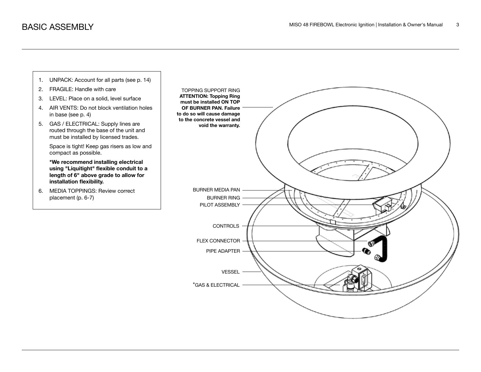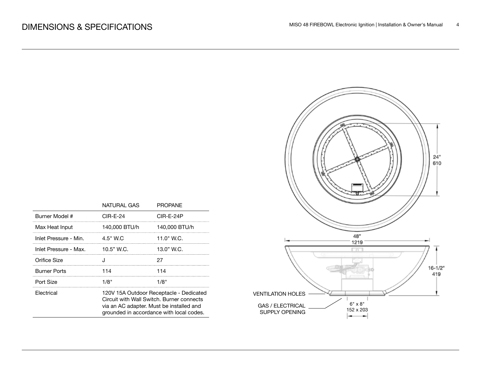|                       | NATURAL GAS                                                                                                                                                                  | <b>PROPANE</b> |  |
|-----------------------|------------------------------------------------------------------------------------------------------------------------------------------------------------------------------|----------------|--|
| Burner Model #        | CIR-E-24                                                                                                                                                                     | CIR-E-24P      |  |
| Max Heat Input        | 140,000 BTU/h                                                                                                                                                                | 140,000 BTU/h  |  |
| Inlet Pressure - Min. | 4.5" W.C                                                                                                                                                                     | 11.0" W.C.     |  |
| Inlet Pressure - Max. | $10.5"$ W.C.                                                                                                                                                                 | 13.0" W.C.     |  |
| Orifice Size          |                                                                                                                                                                              | 27             |  |
| <b>Burner Ports</b>   | 114                                                                                                                                                                          | 114            |  |
| Port Size             | 1/8"                                                                                                                                                                         | 1/8"           |  |
| Electrical            | 120V 15A Outdoor Receptacle - Dedicated<br>Circuit with Wall Switch, Burner connects<br>via an AC adapter. Must be installed and<br>grounded in accordance with local codes. |                |  |

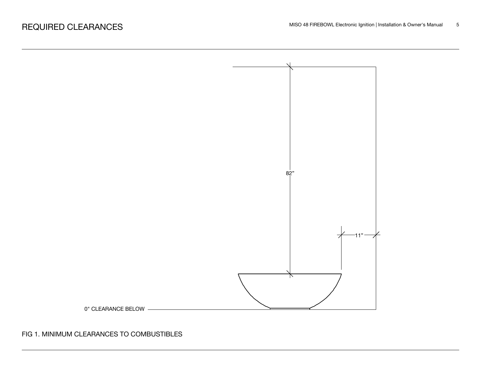

FIG 1. MINIMUM CLEARANCES TO COMBUSTIBLES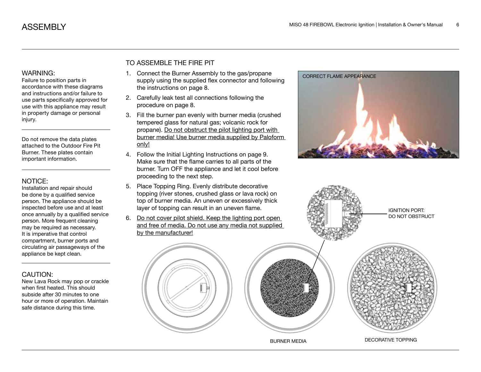accordance with these diagrams and instructions and/or failure to use parts specifically approved for use with this appliance may result in property damage or personal injury.

Do not remove the data plates attached to the Outdoor Fire Pit Burner. These plates contain important information.

#### NOTICE:

Installation and repair should be done by a qualified service person. The appliance should be inspected before use and at least once annually by a qualified service person. More frequent cleaning may be required as necessary. It is imperative that control compartment, burner ports and circulating air passageways of the appliance be kept clean.

#### CAUTION:

New Lava Rock may pop or crackle when first heated. This should subside after 30 minutes to one hour or more of operation. Maintain safe distance during this time.

#### TO ASSEMBLE THE FIRE PIT

- 1. Connect the Burner Assembly to the gas/propane WARNING: 1. Connect the Burner Assembly to the gas/propane correct FLAME APPEARANCE<br>Failure to position parts in supply using the supplied flex connector and following the instructions on page 8.
	- 2. Carefully leak test all connections following the procedure on page 8.
	- 3. Fill the burner pan evenly with burner media (crushed tempered glass for natural gas; volcanic rock for propane). Do not obstruct the pilot lighting port with burner media! Use burner media supplied by Paloform only!
	- 4. Follow the Initial Lighting Instructions on page 9. Make sure that the flame carries to all parts of the burner. Turn OFF the appliance and let it cool before proceeding to the next step.
	- 5. Place Topping Ring. Evenly distribute decorative topping (river stones, crushed glass or lava rock) on top of burner media. An uneven or excessively thick layer of topping can result in an uneven flame.
	- 6. Do not cover pilot shield. Keep the lighting port open and free of media. Do not use any media not supplied by the manufacturer!





BURNER MEDIA DECORATIVE TOPPING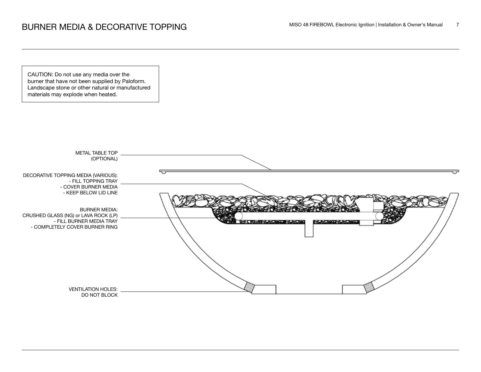CAUTION: Do not use any media over the burner that have not been supplied by Paloform. Landscape stone or other natural or manufactured materials may explode when heated.

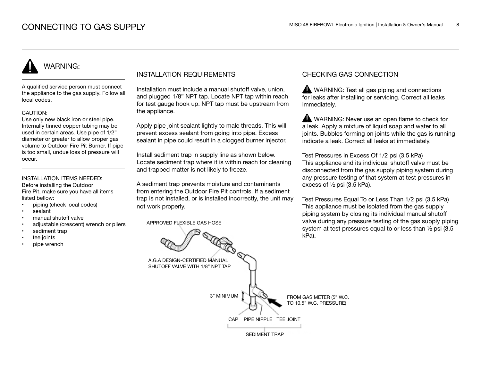# WARNING:

A qualified service person must connect the appliance to the gas supply. Follow all local codes.

#### CAUTION:

Use only new black iron or steel pipe. Internally tinned copper tubing may be used in certain areas. Use pipe of 1/2" diameter or greater to allow proper gas volume to Outdoor Fire Pit Burner. If pipe is too small, undue loss of pressure will occur.

#### INSTALLATION ITEMS NEEDED:

Before installing the Outdoor Fire Pit, make sure you have all items listed bellow:

- piping (check local codes)
- sealant
- manual shutoff valve
- adjustable (crescent) wrench or pliers
- sediment trap
- tee joints
- pipe wrench

#### INSTALLATION REQUIREMENTS

Installation must include a manual shutoff valve, union, and plugged 1/8" NPT tap. Locate NPT tap within reach for test gauge hook up. NPT tap must be upstream from the appliance.

Apply pipe joint sealant lightly to male threads. This will prevent excess sealant from going into pipe. Excess sealant in pipe could result in a clogged burner injector.

Install sediment trap in supply line as shown below. Locate sediment trap where it is within reach for cleaning and trapped matter is not likely to freeze.

A sediment trap prevents moisture and contaminants from entering the Outdoor Fire Pit controls. If a sediment trap is not installed, or is installed incorrectly, the unit may not work properly.

APPROVED FLEXIBLE GAS HOSE

#### CHECKING GAS CONNECTION

WARNING: Test all gas piping and connections for leaks after installing or servicing. Correct all leaks immediately.

WARNING: Never use an open flame to check for a leak. Apply a mixture of liquid soap and water to all joints. Bubbles forming on joints while the gas is running indicate a leak. Correct all leaks at immediately.

Test Pressures in Excess Of 1/2 psi (3.5 kPa) This appliance and its individual shutoff valve must be disconnected from the gas supply piping system during any pressure testing of that system at test pressures in excess of ½ psi (3.5 kPa).

Test Pressures Equal To or Less Than 1/2 psi (3.5 kPa) This appliance must be isolated from the gas supply piping system by closing its individual manual shutoff valve during any pressure testing of the gas supply piping system at test pressures equal to or less than ½ psi (3.5 kPa).

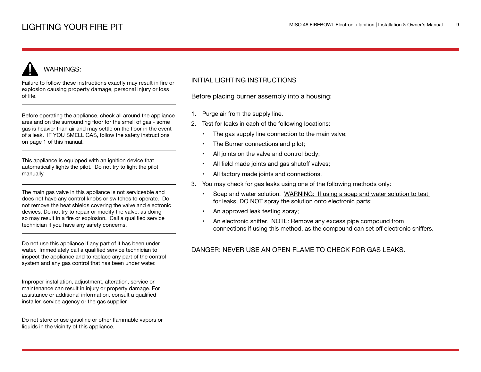# WARNINGS:

Failure to follow these instructions exactly may result in fire or explosion causing property damage, personal injury or loss of life.

Before operating the appliance, check all around the appliance area and on the surrounding floor for the smell of gas - some gas is heavier than air and may settle on the floor in the event of a leak. IF YOU SMELL GAS, follow the safety instructions on page 1 of this manual.

This appliance is equipped with an ignition device that automatically lights the pilot. Do not try to light the pilot manually.

The main gas valve in this appliance is not serviceable and does not have any control knobs or switches to operate. Do not remove the heat shields covering the valve and electronic devices. Do not try to repair or modify the valve, as doing so may result in a fire or explosion. Call a qualified service technician if you have any safety concerns.

Do not use this appliance if any part of it has been under water. Immediately call a qualified service technician to inspect the appliance and to replace any part of the control system and any gas control that has been under water.

Improper installation, adjustment, alteration, service or maintenance can result in injury or property damage. For assistance or additional information, consult a qualified installer, service agency or the gas supplier.

Do not store or use gasoline or other flammable vapors or liquids in the vicinity of this appliance.

#### INITIAL LIGHTING INSTRUCTIONS

Before placing burner assembly into a housing:

- 1. Purge air from the supply line.
- 2. Test for leaks in each of the following locations:
	- The gas supply line connection to the main valve;
	- The Burner connections and pilot;
	- All joints on the valve and control body;
	- All field made joints and gas shutoff valves;
	- All factory made joints and connections.
- 3. You may check for gas leaks using one of the following methods only:
	- Soap and water solution. WARNING: If using a soap and water solution to test for leaks, DO NOT spray the solution onto electronic parts;
	- An approved leak testing spray;
	- An electronic sniffer. NOTE: Remove any excess pipe compound from connections if using this method, as the compound can set off electronic sniffers.

#### DANGER: NEVER USE AN OPEN FLAME TO CHECK FOR GAS LEAKS.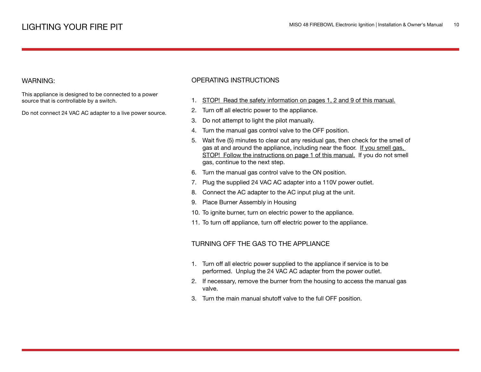#### WARNING:

This appliance is designed to be connected to a power source that is controllable by a switch.

Do not connect 24 VAC AC adapter to a live power source.

#### OPERATING INSTRUCTIONS

- 1. STOP! Read the safety information on pages 1, 2 and 9 of this manual.
- 2. Turn off all electric power to the appliance.
- 3. Do not attempt to light the pilot manually.
- 4. Turn the manual gas control valve to the OFF position.
- 5. Wait five (5) minutes to clear out any residual gas, then check for the smell of gas at and around the appliance, including near the floor. If you smell gas, STOP! Follow the instructions on page 1 of this manual. If you do not smell gas, continue to the next step.
- 6. Turn the manual gas control valve to the ON position.
- 7. Plug the supplied 24 VAC AC adapter into a 110V power outlet.
- 8. Connect the AC adapter to the AC input plug at the unit.
- 9. Place Burner Assembly in Housing
- 10. To ignite burner, turn on electric power to the appliance.
- 11. To turn off appliance, turn off electric power to the appliance.

#### TURNING OFF THE GAS TO THE APPLIANCE

- 1. Turn off all electric power supplied to the appliance if service is to be performed. Unplug the 24 VAC AC adapter from the power outlet.
- 2. If necessary, remove the burner from the housing to access the manual gas valve.
- 3. Turn the main manual shutoff valve to the full OFF position.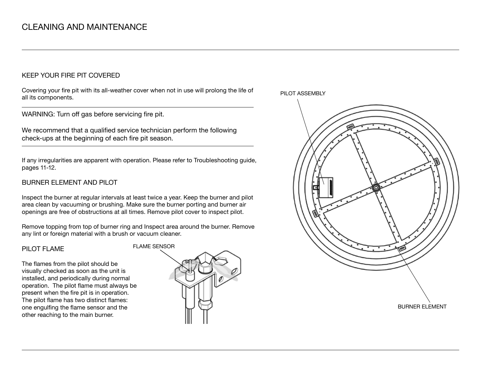#### KEEP YOUR FIRE PIT COVERED

Covering your fire pit with its all-weather cover when not in use will prolong the life of all its components.

WARNING: Turn off gas before servicing fire pit.

We recommend that a qualified service technician perform the following check-ups at the beginning of each fire pit season.

If any irregularities are apparent with operation. Please refer to Troubleshooting guide, pages 11-12.

#### BURNER ELEMENT AND PILOT

Inspect the burner at regular intervals at least twice a year. Keep the burner and pilot area clean by vacuuming or brushing. Make sure the burner porting and burner air openings are free of obstructions at all times. Remove pilot cover to inspect pilot.

Remove topping from top of burner ring and Inspect area around the burner. Remove any lint or foreign material with a brush or vacuum cleaner.

#### PILOT FLAME

The flames from the pilot should be visually checked as soon as the unit is installed, and periodically during normal operation. The pilot flame must always be present when the fire pit is in operation. The pilot flame has two distinct flames: one engulfing the flame sensor and the other reaching to the main burner.



PILOT ASSEMBLY

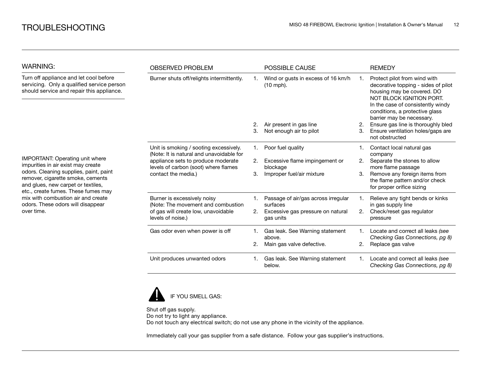| <b>WARNING:</b>                                                                                                                                                                                                                                                                                                            | <b>OBSERVED PROBLEM</b>                                                                                                                                                                 |    | <b>POSSIBLE CAUSE</b>                           |    | <b>REMEDY</b>                                                                                                                                                                                                                     |
|----------------------------------------------------------------------------------------------------------------------------------------------------------------------------------------------------------------------------------------------------------------------------------------------------------------------------|-----------------------------------------------------------------------------------------------------------------------------------------------------------------------------------------|----|-------------------------------------------------|----|-----------------------------------------------------------------------------------------------------------------------------------------------------------------------------------------------------------------------------------|
| Turn off appliance and let cool before<br>servicing. Only a qualified service person<br>should service and repair this appliance.                                                                                                                                                                                          | Burner shuts off/relights intermittently.                                                                                                                                               |    | Wind or gusts in excess of 16 km/h<br>(10 mph). |    | Protect pilot from wind with<br>decorative topping - sides of pilot<br>housing may be covered. DO<br>NOT BLOCK IGNITION PORT.<br>In the case of consistently windy<br>conditions, a protective glass<br>barrier may be necessary. |
|                                                                                                                                                                                                                                                                                                                            |                                                                                                                                                                                         | 2. | Air present in gas line                         | 2. | Ensure gas line is thoroughly bled                                                                                                                                                                                                |
|                                                                                                                                                                                                                                                                                                                            |                                                                                                                                                                                         | 3. | Not enough air to pilot                         | З. | Ensure ventilation holes/gaps are<br>not obstructed                                                                                                                                                                               |
|                                                                                                                                                                                                                                                                                                                            | Unit is smoking / sooting excessively.<br>(Note: It is natural and unavoidable for<br>appliance sets to produce moderate<br>levels of carbon (soot) where flames<br>contact the media.) | 1. | Poor fuel quality                               |    | Contact local natural gas<br>company                                                                                                                                                                                              |
| IMPORTANT: Operating unit where<br>impurities in air exist may create<br>odors. Cleaning supplies, paint, paint<br>remover, cigarette smoke, cements<br>and glues, new carpet or textiles,<br>etc., create fumes. These fumes may<br>mix with combustion air and create<br>odors. These odors will disappear<br>over time. |                                                                                                                                                                                         | 2. | Excessive flame impingement or<br>blockage      | 2. | Separate the stones to allow<br>more flame passage                                                                                                                                                                                |
|                                                                                                                                                                                                                                                                                                                            |                                                                                                                                                                                         | 3. | Improper fuel/air mixture                       | 3. | Remove any foreign items from<br>the flame pattern and/or check<br>for proper orifice sizing                                                                                                                                      |
|                                                                                                                                                                                                                                                                                                                            | Burner is excessively noisy<br>(Note: The movement and combustion                                                                                                                       |    | Passage of air/gas across irregular<br>surfaces |    | Relieve any tight bends or kinks<br>in gas supply line                                                                                                                                                                            |
|                                                                                                                                                                                                                                                                                                                            | of gas will create low, unavoidable<br>levels of noise.)                                                                                                                                | 2. | Excessive gas pressure on natural<br>gas units  | 2. | Check/reset gas regulator<br>pressure                                                                                                                                                                                             |
|                                                                                                                                                                                                                                                                                                                            | Gas odor even when power is off                                                                                                                                                         | 1. | Gas leak. See Warning statement<br>above.       |    | Locate and correct all leaks (see<br>Checking Gas Connections, pg 8)                                                                                                                                                              |
|                                                                                                                                                                                                                                                                                                                            |                                                                                                                                                                                         |    | Main gas valve defective.                       | 2. | Replace gas valve                                                                                                                                                                                                                 |
|                                                                                                                                                                                                                                                                                                                            | Unit produces unwanted odors                                                                                                                                                            | 1. | Gas leak. See Warning statement<br>below.       |    | Locate and correct all leaks (see<br>Checking Gas Connections, pg 8)                                                                                                                                                              |



Shut off gas supply. Do not try to light any appliance. Do not touch any electrical switch; do not use any phone in the vicinity of the appliance.

Immediately call your gas supplier from a safe distance. Follow your gas supplier's instructions.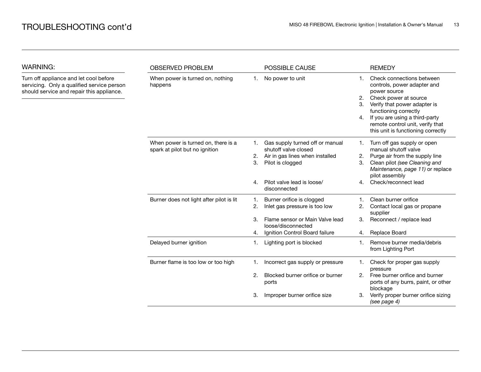WARNING:

| WARNING:                                                                                                                          | <b>OBSERVED PROBLEM</b>                                               |          | POSSIBLE CAUSE                                                                                                 |                                  | <b>REMEDY</b>                                                                                                                                                                                                                                                          |
|-----------------------------------------------------------------------------------------------------------------------------------|-----------------------------------------------------------------------|----------|----------------------------------------------------------------------------------------------------------------|----------------------------------|------------------------------------------------------------------------------------------------------------------------------------------------------------------------------------------------------------------------------------------------------------------------|
| Turn off appliance and let cool before<br>servicing. Only a qualified service person<br>should service and repair this appliance. | When power is turned on, nothing<br>happens                           | 1.       | No power to unit                                                                                               | $\mathbf{1}$ .<br>2.<br>3.<br>4. | Check connections between<br>controls, power adapter and<br>power source<br>Check power at source<br>Verify that power adapter is<br>functioning correctly<br>If you are using a third-party<br>remote control unit, verify that<br>this unit is functioning correctly |
|                                                                                                                                   | When power is turned on, there is a<br>spark at pilot but no ignition | 2.<br>3. | Gas supply turned off or manual<br>shutoff valve closed<br>Air in gas lines when installed<br>Pilot is clogged | 2.<br>3.                         | Turn off gas supply or open<br>manual shutoff valve<br>Purge air from the supply line<br>Clean pilot (see Cleaning and<br>Maintenance, page 11) or replace<br>pilot assembly                                                                                           |
|                                                                                                                                   |                                                                       | 4.       | Pilot valve lead is loose/<br>disconnected                                                                     | 4.                               | Check/reconnect lead                                                                                                                                                                                                                                                   |
|                                                                                                                                   | Burner does not light after pilot is lit                              | 1.<br>2. | Burner orifice is clogged<br>Inlet gas pressure is too low                                                     | 2.                               | Clean burner orifice<br>Contact local gas or propane<br>supplier                                                                                                                                                                                                       |
|                                                                                                                                   |                                                                       | 3.<br>4. | Flame sensor or Main Valve lead<br>loose/disconnected<br>Ignition Control Board failure                        | 3.<br>4.                         | Reconnect / replace lead<br>Replace Board                                                                                                                                                                                                                              |
|                                                                                                                                   | Delayed burner ignition                                               | 1.       | Lighting port is blocked                                                                                       | 1.                               | Remove burner media/debris<br>from Lighting Port                                                                                                                                                                                                                       |
|                                                                                                                                   | Burner flame is too low or too high                                   |          | Incorrect gas supply or pressure                                                                               | 1.                               | Check for proper gas supply<br>pressure                                                                                                                                                                                                                                |
|                                                                                                                                   |                                                                       | 2.       | Blocked burner orifice or burner<br>ports                                                                      | 2.                               | Free burner orifice and burner<br>ports of any burrs, paint, or other<br>blockage                                                                                                                                                                                      |
|                                                                                                                                   |                                                                       | 3.       | Improper burner orifice size                                                                                   | 3.                               | Verify proper burner orifice sizing<br>(see page 4)                                                                                                                                                                                                                    |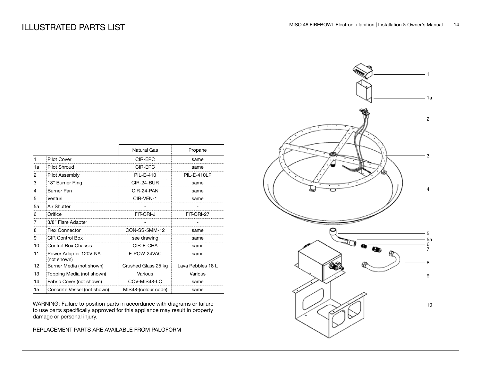|    |                                      | <b>Natural Gas</b>  | Propane           |
|----|--------------------------------------|---------------------|-------------------|
| 1  | <b>Pilot Cover</b>                   | CIR-EPC             | same              |
| 1a | Pilot Shroud                         | CIR-FPC             | same              |
| 2  | Pilot Assembly                       | PIL-E-410           | PIL-E-410LP       |
| 3  | 18" Burner Ring                      | CIR-24-BUR          | same              |
| 4  | Burner Pan                           | CIR-24-PAN          | same              |
| 5  | Venturi                              | CIR-VEN-1           | same              |
| 5a | Air Shutter                          |                     |                   |
| 6  | Orifice                              | FIT-ORI-J           | FIT-ORI-27        |
| 7  | 3/8" Flare Adapter                   |                     |                   |
| 8  | <b>Flex Connector</b>                | CON-SS-5MM-12       | same              |
| 9  | CIR Control Box                      | see drawing         | same              |
| 10 | Control Box Chassis                  | CIR-E-CHA           | same              |
| 11 | Power Adapter 120V-NA<br>(not shown) | E-POW-24VAC         | same              |
| 12 | Burner Media (not shown)             | Crushed Glass 25 kg | Lava Pebbles 18 L |
| 13 | Topping Media (not shown)            | Various             | Various           |
| 14 | Fabric Cover (not shown)             | COV-MIS48-LC        | same              |
| 15 | Concrete Vessel (not shown)          | MIS48-(colour code) | same              |

WARNING: Failure to position parts in accordance with diagrams or failure to use parts specifically approved for this appliance may result in property damage or personal injury.

REPLACEMENT PARTS ARE AVAILABLE FROM PALOFORM

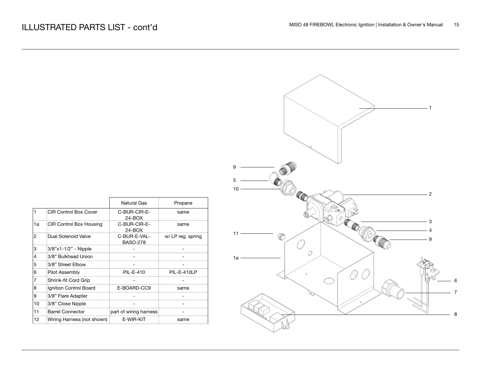|                              | Natural Gas                     | Propane                    |
|------------------------------|---------------------------------|----------------------------|
| <b>CIR Control Box Cover</b> | C-BUR-CIR-E-<br>$24 - BOX$      | same                       |
| CIR Control Box Housing      | C-BUR-CIR-E-<br>$24 - BOX$      | same                       |
| Dual Solenoid Valve          | C-BUR-E-VAL-<br><b>BASO-278</b> | w/ LP reg. spring          |
| 3/8"x1-1/2" - Nipple         |                                 |                            |
| 3/8" Bulkhead Union          |                                 |                            |
| 3/8" Street Elbow            |                                 |                            |
| Pilot Assembly               | PIL-E-410                       | PIL-E-410LP                |
| Shrink-fit Cord Grip         |                                 |                            |
| Ignition Control Board       | E-BOARD-CC9                     | same                       |
| 3/8" Flare Adapter           |                                 |                            |
| 3/8" Close Nipple            |                                 |                            |
| <b>Barrel Connector</b>      | part of wiring harness          |                            |
|                              | E-WIR-KIT                       | same                       |
|                              |                                 | Wiring Harness (not shown) |

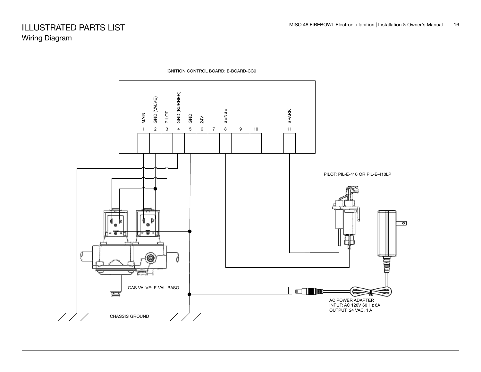

IGNITION CONTROL BOARD: E-BOARD-CC9